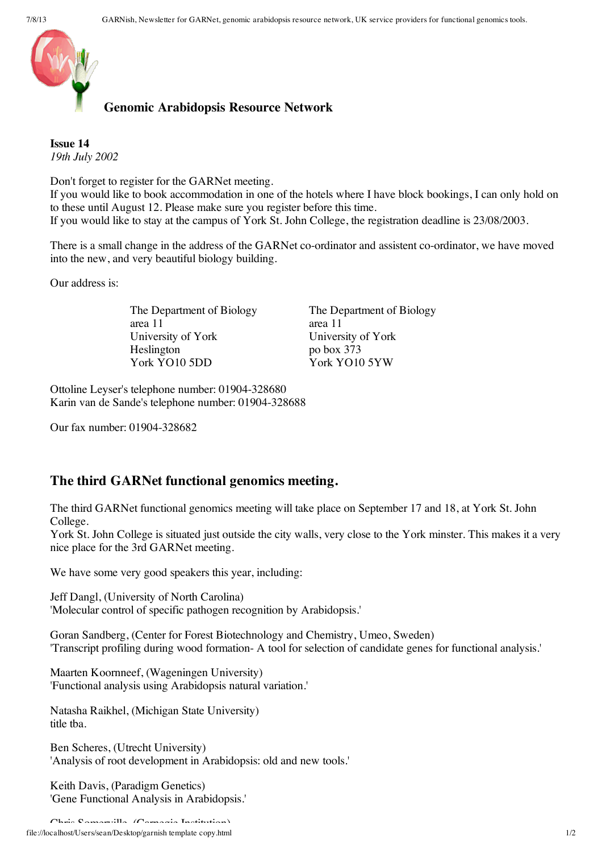



**Genomic Arabidopsis Resource Network**

**Issue 14** *19th July 2002*

Don't forget to register for the GARNet meeting.

If you would like to book accommodation in one of the hotels where I have block bookings, I can only hold on to these until August 12. Please make sure you register before this time. If you would like to stay at the campus of York St. John College, the registration deadline is 23/08/2003.

There is a small change in the address of the GARNet co-ordinator and assistent co-ordinator, we have moved into the new, and very beautiful biology building.

Our address is:

The Department of Biology area 11 University of York Heslington York YO10 5DD

The Department of Biology area 11 University of York po box 373 York YO10 5YW

Ottoline Leyser's telephone number: 01904-328680 Karin van de Sande's telephone number: 01904-328688

Our fax number: 01904-328682

## **The third GARNet functional genomics meeting.**

The third GARNet functional genomics meeting will take place on September 17 and 18, at York St. John College.

York St. John College is situated just outside the city walls, very close to the York minster. This makes it a very nice place for the 3rd GARNet meeting.

We have some very good speakers this year, including:

Jeff Dangl, (University of North Carolina) 'Molecular control of specific pathogen recognition by Arabidopsis.'

Goran Sandberg, (Center for Forest Biotechnology and Chemistry, Umeo, Sweden) 'Transcript profiling during wood formation- A tool for selection of candidate genes for functional analysis.'

Maarten Koornneef, (Wageningen University) 'Functional analysis using Arabidopsis natural variation.'

Natasha Raikhel, (Michigan State University) title tba.

Ben Scheres, (Utrecht University) 'Analysis of root development in Arabidopsis: old and new tools.'

Keith Davis, (Paradigm Genetics) 'Gene Functional Analysis in Arabidopsis.'